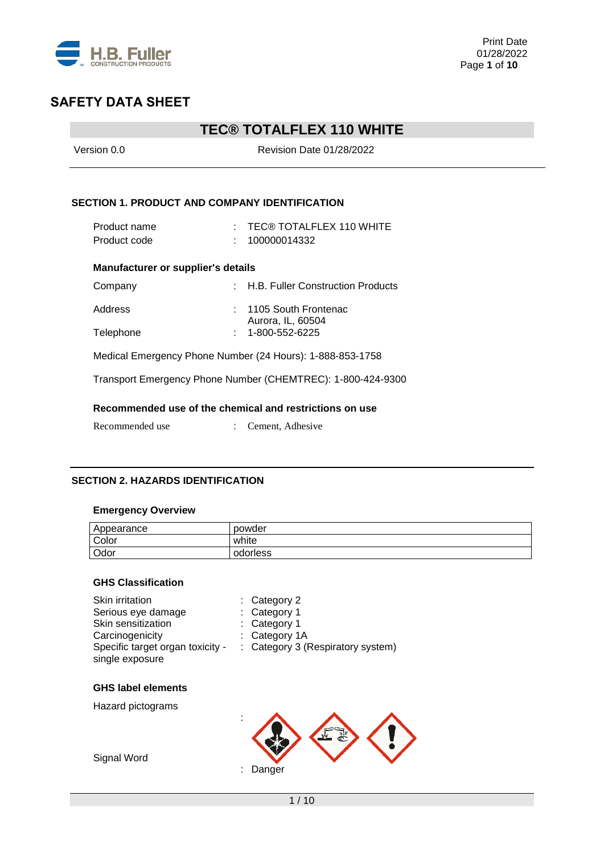

# **TEC® TOTALFLEX 110 WHITE**

| Version 0.0                                               | Revision Date 01/28/2022                                    |  |  |  |
|-----------------------------------------------------------|-------------------------------------------------------------|--|--|--|
| <b>SECTION 1. PRODUCT AND COMPANY IDENTIFICATION</b>      |                                                             |  |  |  |
| Product name                                              | : TEC® TOTALFLEX 110 WHITE                                  |  |  |  |
| Product code                                              | 100000014332                                                |  |  |  |
| <b>Manufacturer or supplier's details</b>                 |                                                             |  |  |  |
| Company                                                   | : H.B. Fuller Construction Products                         |  |  |  |
| Address                                                   | $: 1105$ South Frontenac                                    |  |  |  |
| Telephone                                                 | Aurora, IL, 60504<br>1-800-552-6225                         |  |  |  |
| Medical Emergency Phone Number (24 Hours): 1-888-853-1758 |                                                             |  |  |  |
|                                                           | Transport Emergency Phone Number (CHEMTREC): 1-800-424-9300 |  |  |  |
|                                                           | Recommended use of the chemical and restrictions on use     |  |  |  |
| Recommended use                                           | Cement, Adhesive                                            |  |  |  |

### **SECTION 2. HAZARDS IDENTIFICATION**

### **Emergency Overview**

| Appearance | powder   |
|------------|----------|
| Color      | white    |
| Odor       | odorless |

### **GHS Classification**

| Category 3 (Respiratory system) |
|---------------------------------|
|                                 |
|                                 |
|                                 |
|                                 |
|                                 |
|                                 |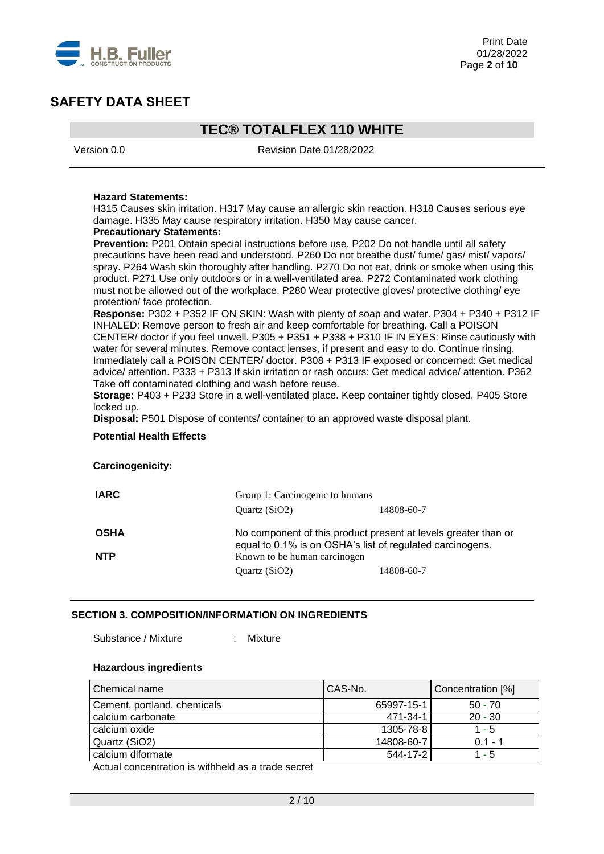

# **TEC® TOTALFLEX 110 WHITE**

Version 0.0 Revision Date 01/28/2022

#### **Hazard Statements:**

H315 Causes skin irritation. H317 May cause an allergic skin reaction. H318 Causes serious eye damage. H335 May cause respiratory irritation. H350 May cause cancer.

#### **Precautionary Statements:**

**Prevention:** P201 Obtain special instructions before use. P202 Do not handle until all safety precautions have been read and understood. P260 Do not breathe dust/ fume/ gas/ mist/ vapors/ spray. P264 Wash skin thoroughly after handling. P270 Do not eat, drink or smoke when using this product. P271 Use only outdoors or in a well-ventilated area. P272 Contaminated work clothing must not be allowed out of the workplace. P280 Wear protective gloves/ protective clothing/ eye protection/ face protection.

**Response:** P302 + P352 IF ON SKIN: Wash with plenty of soap and water. P304 + P340 + P312 IF INHALED: Remove person to fresh air and keep comfortable for breathing. Call a POISON CENTER/ doctor if you feel unwell. P305 + P351 + P338 + P310 IF IN EYES: Rinse cautiously with water for several minutes. Remove contact lenses, if present and easy to do. Continue rinsing. Immediately call a POISON CENTER/ doctor. P308 + P313 IF exposed or concerned: Get medical advice/ attention. P333 + P313 If skin irritation or rash occurs: Get medical advice/ attention. P362 Take off contaminated clothing and wash before reuse.

**Storage:** P403 + P233 Store in a well-ventilated place. Keep container tightly closed. P405 Store locked up.

**Disposal:** P501 Dispose of contents/ container to an approved waste disposal plant.

#### **Potential Health Effects**

#### **Carcinogenicity:**

| <b>IARC</b>               | Group 1: Carcinogenic to humans                                                                                             |            |  |
|---------------------------|-----------------------------------------------------------------------------------------------------------------------------|------------|--|
|                           | Ouartz $(SiO2)$                                                                                                             | 14808-60-7 |  |
| <b>OSHA</b><br><b>NTP</b> | No component of this product present at levels greater than or<br>equal to 0.1% is on OSHA's list of regulated carcinogens. |            |  |
|                           | Known to be human carcinogen<br>Quartz (SiO2)                                                                               | 14808-60-7 |  |
|                           |                                                                                                                             |            |  |

#### **SECTION 3. COMPOSITION/INFORMATION ON INGREDIENTS**

Substance / Mixture : Mixture

## **Hazardous ingredients**

| Chemical name               | CAS-No.    | Concentration [%] |
|-----------------------------|------------|-------------------|
| Cement, portland, chemicals | 65997-15-1 | $50 - 70$         |
| calcium carbonate           | 471-34-1   | $20 - 30$         |
| calcium oxide               | 1305-78-8  | $1 - 5$           |
| Quartz (SiO2)               | 14808-60-7 | $0.1 - 1$         |
| calcium diformate           | 544-17-2   | $1 - 5$           |

Actual concentration is withheld as a trade secret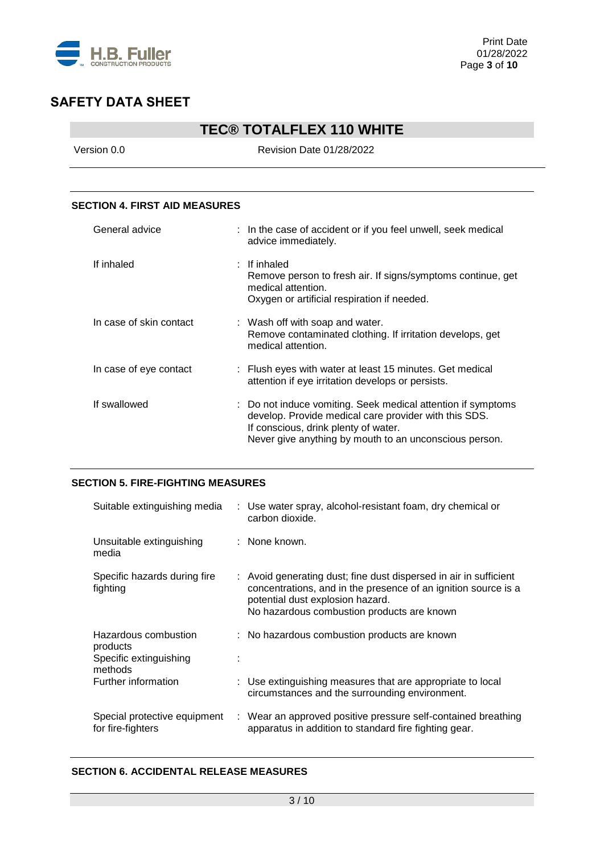

# **TEC® TOTALFLEX 110 WHITE**

Version 0.0 Revision Date 01/28/2022

### **SECTION 4. FIRST AID MEASURES**

| General advice          | : In the case of accident or if you feel unwell, seek medical<br>advice immediately.                                                                                                                                    |
|-------------------------|-------------------------------------------------------------------------------------------------------------------------------------------------------------------------------------------------------------------------|
| If inhaled              | $:$ If inhaled<br>Remove person to fresh air. If signs/symptoms continue, get<br>medical attention.<br>Oxygen or artificial respiration if needed.                                                                      |
| In case of skin contact | : Wash off with soap and water.<br>Remove contaminated clothing. If irritation develops, get<br>medical attention.                                                                                                      |
| In case of eye contact  | : Flush eyes with water at least 15 minutes. Get medical<br>attention if eye irritation develops or persists.                                                                                                           |
| If swallowed            | : Do not induce vomiting. Seek medical attention if symptoms<br>develop. Provide medical care provider with this SDS.<br>If conscious, drink plenty of water.<br>Never give anything by mouth to an unconscious person. |

### **SECTION 5. FIRE-FIGHTING MEASURES**

| Suitable extinguishing media                                          | : Use water spray, alcohol-resistant foam, dry chemical or<br>carbon dioxide.                                                                                                                                         |
|-----------------------------------------------------------------------|-----------------------------------------------------------------------------------------------------------------------------------------------------------------------------------------------------------------------|
| Unsuitable extinguishing<br>media                                     | : None known.                                                                                                                                                                                                         |
| Specific hazards during fire<br>fighting                              | : Avoid generating dust; fine dust dispersed in air in sufficient<br>concentrations, and in the presence of an ignition source is a<br>potential dust explosion hazard.<br>No hazardous combustion products are known |
| Hazardous combustion<br>products<br>Specific extinguishing<br>methods | : No hazardous combustion products are known                                                                                                                                                                          |
| Further information                                                   | : Use extinguishing measures that are appropriate to local<br>circumstances and the surrounding environment.                                                                                                          |
| Special protective equipment<br>for fire-fighters                     | : Wear an approved positive pressure self-contained breathing<br>apparatus in addition to standard fire fighting gear.                                                                                                |

### **SECTION 6. ACCIDENTAL RELEASE MEASURES**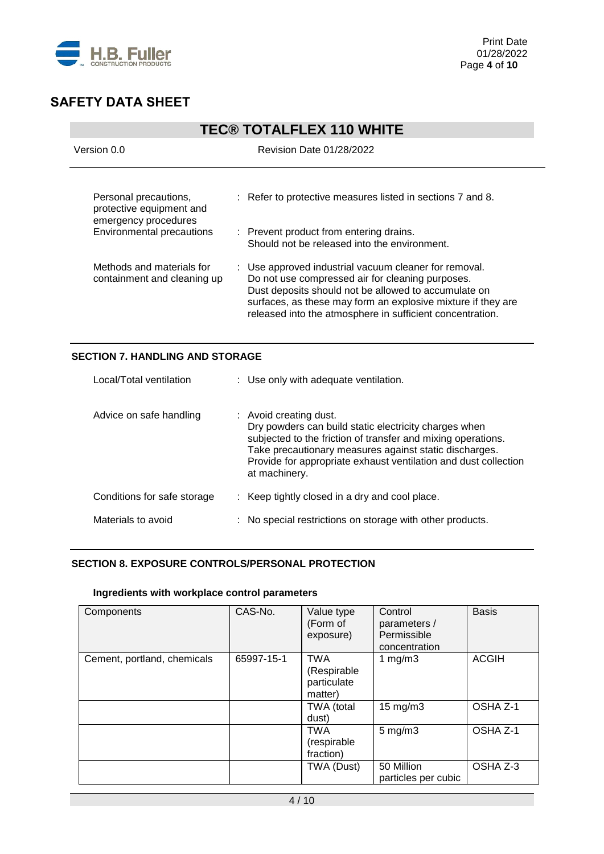

| <b>TEC® TOTALFLEX 110 WHITE</b>                                                                               |                                                                                                                                                                                                                                                                                                |  |
|---------------------------------------------------------------------------------------------------------------|------------------------------------------------------------------------------------------------------------------------------------------------------------------------------------------------------------------------------------------------------------------------------------------------|--|
| Version 0.0                                                                                                   | Revision Date 01/28/2022                                                                                                                                                                                                                                                                       |  |
| Personal precautions,<br>protective equipment and<br>emergency procedures<br><b>Environmental precautions</b> | : Refer to protective measures listed in sections 7 and 8.<br>: Prevent product from entering drains.<br>Should not be released into the environment.                                                                                                                                          |  |
| Methods and materials for<br>containment and cleaning up                                                      | : Use approved industrial vacuum cleaner for removal.<br>Do not use compressed air for cleaning purposes.<br>Dust deposits should not be allowed to accumulate on<br>surfaces, as these may form an explosive mixture if they are<br>released into the atmosphere in sufficient concentration. |  |

### **SECTION 7. HANDLING AND STORAGE**

| Local/Total ventilation     | : Use only with adequate ventilation.                                                                                                                                                                                                                                                         |
|-----------------------------|-----------------------------------------------------------------------------------------------------------------------------------------------------------------------------------------------------------------------------------------------------------------------------------------------|
| Advice on safe handling     | : Avoid creating dust.<br>Dry powders can build static electricity charges when<br>subjected to the friction of transfer and mixing operations.<br>Take precautionary measures against static discharges.<br>Provide for appropriate exhaust ventilation and dust collection<br>at machinery. |
| Conditions for safe storage | : Keep tightly closed in a dry and cool place.                                                                                                                                                                                                                                                |
| Materials to avoid          | : No special restrictions on storage with other products.                                                                                                                                                                                                                                     |

### **SECTION 8. EXPOSURE CONTROLS/PERSONAL PROTECTION**

#### **Ingredients with workplace control parameters**

| Components                  | CAS-No.    | Value type<br>(Form of<br>exposure)                 | Control<br>parameters /<br>Permissible<br>concentration | <b>Basis</b> |
|-----------------------------|------------|-----------------------------------------------------|---------------------------------------------------------|--------------|
| Cement, portland, chemicals | 65997-15-1 | <b>TWA</b><br>(Respirable<br>particulate<br>matter) | 1 $mg/m3$                                               | <b>ACGIH</b> |
|                             |            | TWA (total<br>dust)                                 | $15 \text{ mg/m}$                                       | OSHA Z-1     |
|                             |            | <b>TWA</b><br>(respirable<br>fraction)              | $5 \text{ mg/m}$ 3                                      | OSHA Z-1     |
|                             |            | TWA (Dust)                                          | 50 Million<br>particles per cubic                       | OSHA Z-3     |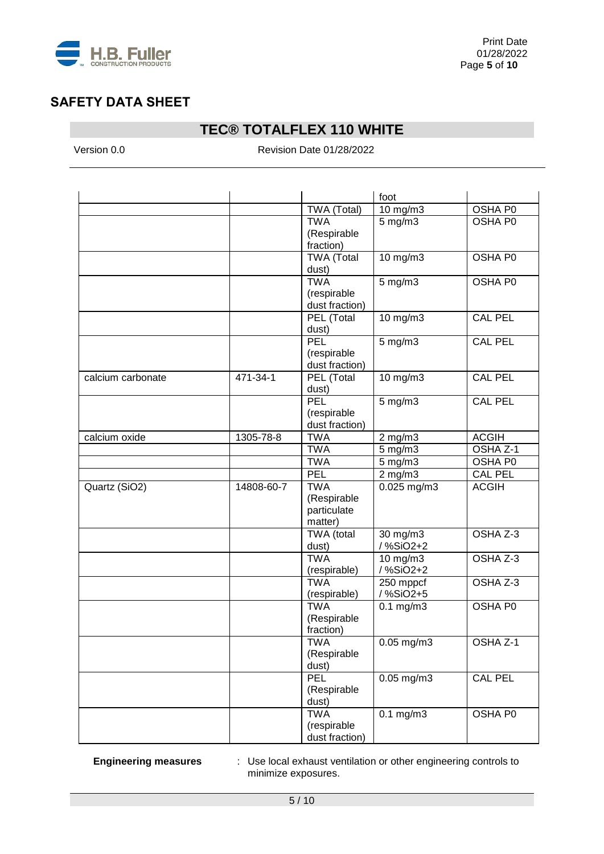

# **TEC® TOTALFLEX 110 WHITE**

Version 0.0 **Revision Date 01/28/2022** 

|                   |            |                   | foot               |                |
|-------------------|------------|-------------------|--------------------|----------------|
|                   |            | TWA (Total)       | 10 mg/m3           | OSHA P0        |
|                   |            | <b>TWA</b>        | $5$ mg/m $3$       | OSHA P0        |
|                   |            | (Respirable       |                    |                |
|                   |            | fraction)         |                    |                |
|                   |            | <b>TWA (Total</b> | 10 mg/m3           | OSHA P0        |
|                   |            | dust)             |                    |                |
|                   |            | <b>TWA</b>        | $5$ mg/m $3$       | OSHA P0        |
|                   |            | (respirable       |                    |                |
|                   |            | dust fraction)    |                    |                |
|                   |            | PEL (Total        | 10 mg/m3           | <b>CAL PEL</b> |
|                   |            | dust)             |                    |                |
|                   |            | PEL               | $5$ mg/m $3$       | <b>CAL PEL</b> |
|                   |            | (respirable       |                    |                |
|                   |            | dust fraction)    |                    |                |
| calcium carbonate | 471-34-1   | PEL (Total        | 10 mg/m3           | <b>CAL PEL</b> |
|                   |            | dust)             |                    |                |
|                   |            | PEL               | 5 mg/m3            | <b>CAL PEL</b> |
|                   |            | (respirable       |                    |                |
|                   |            | dust fraction)    |                    |                |
| calcium oxide     | 1305-78-8  | <b>TWA</b>        | $2$ mg/m $3$       | <b>ACGIH</b>   |
|                   |            | <b>TWA</b>        | 5 mg/m3            | OSHA Z-1       |
|                   |            | <b>TWA</b>        | $5$ mg/m $3$       | OSHA P0        |
|                   |            | PEL               | $2$ mg/m $3$       | <b>CAL PEL</b> |
| Quartz (SiO2)     | 14808-60-7 | <b>TWA</b>        | 0.025 mg/m3        | <b>ACGIH</b>   |
|                   |            | (Respirable       |                    |                |
|                   |            | particulate       |                    |                |
|                   |            | matter)           |                    |                |
|                   |            | TWA (total        | 30 mg/m3           | OSHA Z-3       |
|                   |            | dust)             | /%SiO2+2           |                |
|                   |            | <b>TWA</b>        | 10 mg/m3           | OSHA Z-3       |
|                   |            | (respirable)      | /%SiO2+2           |                |
|                   |            | <b>TWA</b>        | 250 mppcf          | OSHA Z-3       |
|                   |            | (respirable)      | /%SiO2+5           |                |
|                   |            | <b>TWA</b>        | $0.1$ mg/m $3$     | OSHA P0        |
|                   |            | (Respirable       |                    |                |
|                   |            | fraction)         |                    |                |
|                   |            | TWA               | $0.05$ mg/m $3$    | OSHA Z-1       |
|                   |            | (Respirable       |                    |                |
|                   |            | dust)             |                    |                |
|                   |            | PEL               | $0.05$ mg/m3       | CAL PEL        |
|                   |            | (Respirable       |                    |                |
|                   |            | dust)             |                    |                |
|                   |            | <b>TWA</b>        | $0.1 \text{ mg/m}$ | OSHA P0        |
|                   |            | (respirable       |                    |                |
|                   |            | dust fraction)    |                    |                |

**Engineering measures** : Use local exhaust ventilation or other engineering controls to minimize exposures.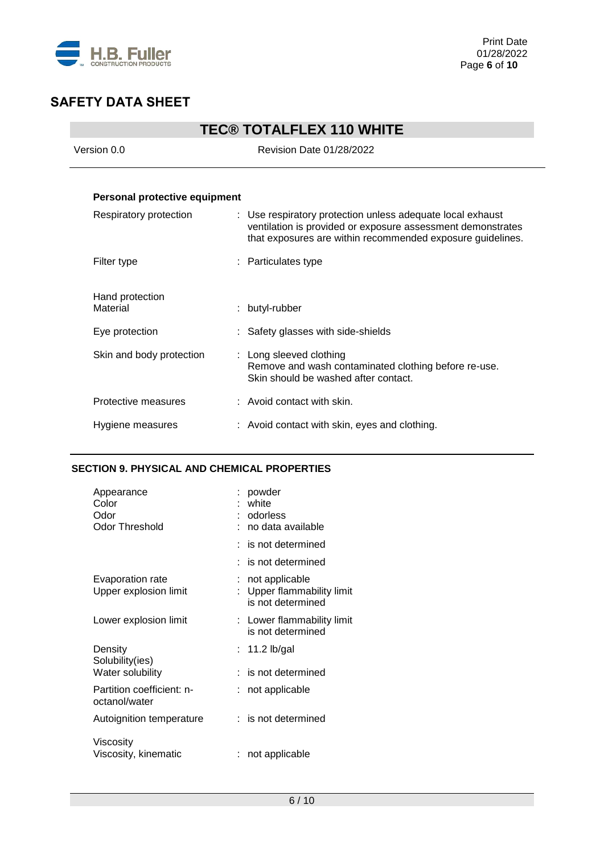

| <b>TEC® TOTALFLEX 110 WHITE</b> |                                                                                                                                                                                         |  |
|---------------------------------|-----------------------------------------------------------------------------------------------------------------------------------------------------------------------------------------|--|
| Version 0.0                     | Revision Date 01/28/2022                                                                                                                                                                |  |
|                                 |                                                                                                                                                                                         |  |
| Personal protective equipment   |                                                                                                                                                                                         |  |
| Respiratory protection          | : Use respiratory protection unless adequate local exhaust<br>ventilation is provided or exposure assessment demonstrates<br>that exposures are within recommended exposure guidelines. |  |
| Filter type                     | : Particulates type                                                                                                                                                                     |  |
| Hand protection<br>Material     | : butyl-rubber                                                                                                                                                                          |  |
| Eye protection                  | : Safety glasses with side-shields                                                                                                                                                      |  |
| Skin and body protection        | : Long sleeved clothing<br>Remove and wash contaminated clothing before re-use.<br>Skin should be washed after contact.                                                                 |  |
| Protective measures             | $:$ Avoid contact with skin.                                                                                                                                                            |  |
| Hygiene measures                | : Avoid contact with skin, eyes and clothing.                                                                                                                                           |  |

### **SECTION 9. PHYSICAL AND CHEMICAL PROPERTIES**

| Appearance<br>Color<br>Odor<br>Odor Threshold | powder<br>white<br>: odorless<br>: no data available            |
|-----------------------------------------------|-----------------------------------------------------------------|
|                                               | $:$ is not determined                                           |
|                                               | $:$ is not determined                                           |
| Evaporation rate<br>Upper explosion limit     | not applicable<br>Upper flammability limit<br>is not determined |
| Lower explosion limit                         | : Lower flammability limit<br>is not determined                 |
| Density<br>Solubility(ies)                    | $: 11.2$ lb/gal                                                 |
| Water solubility                              | $:$ is not determined                                           |
| Partition coefficient: n-<br>octanol/water    | not applicable                                                  |
| Autoignition temperature                      | $:$ is not determined                                           |
| Viscosity<br>Viscosity, kinematic             | : not applicable                                                |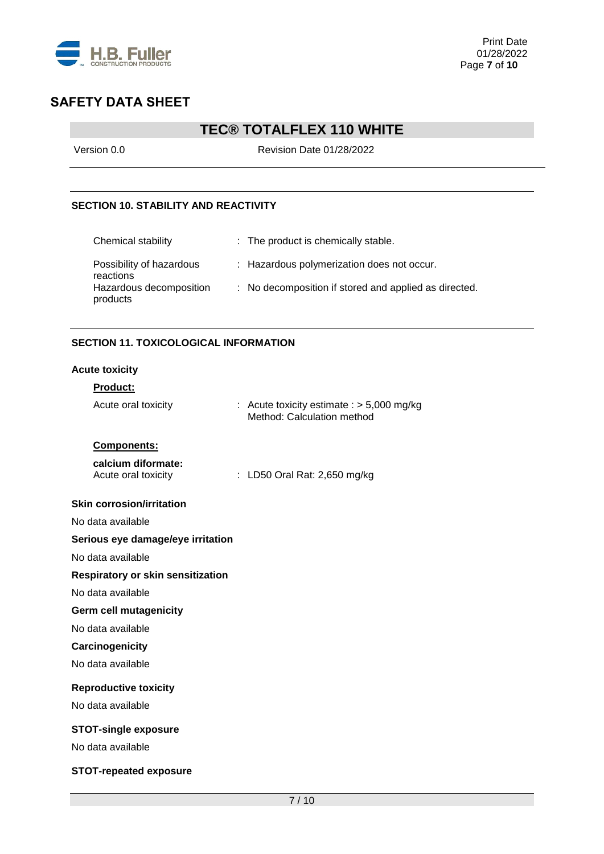

# **TEC® TOTALFLEX 110 WHITE**

Version 0.0 Revision Date 01/28/2022

### **SECTION 10. STABILITY AND REACTIVITY**

| Chemical stability                    | : The product is chemically stable.                   |
|---------------------------------------|-------------------------------------------------------|
| Possibility of hazardous<br>reactions | : Hazardous polymerization does not occur.            |
| Hazardous decomposition<br>products   | : No decomposition if stored and applied as directed. |

### **SECTION 11. TOXICOLOGICAL INFORMATION**

#### **Acute toxicity**

### **Product:**

| Acute oral toxicity                       | : Acute toxicity estimate : $> 5,000$ mg/kg<br>Method: Calculation method |
|-------------------------------------------|---------------------------------------------------------------------------|
| Components:                               |                                                                           |
| calcium diformate:<br>Acute oral toxicity | : LD50 Oral Rat: 2,650 mg/kg                                              |
| <b>Skin corrosion/irritation</b>          |                                                                           |
| No data available                         |                                                                           |
| Serious eye damage/eye irritation         |                                                                           |
| No data available                         |                                                                           |
| Respiratory or skin sensitization         |                                                                           |
| No data available                         |                                                                           |
| <b>Germ cell mutagenicity</b>             |                                                                           |
| No data available                         |                                                                           |
| Carcinogenicity                           |                                                                           |
| No data available                         |                                                                           |
| <b>Reproductive toxicity</b>              |                                                                           |
| No data available                         |                                                                           |
| <b>STOT-single exposure</b>               |                                                                           |
| No data available                         |                                                                           |
| <b>STOT-repeated exposure</b>             |                                                                           |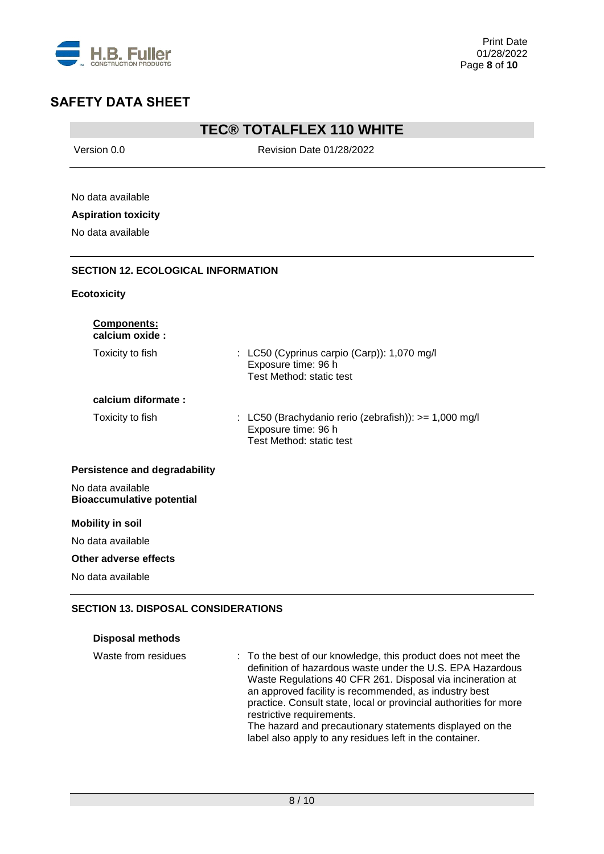

## **TEC® TOTALFLEX 110 WHITE**

Version 0.0 **Revision Date 01/28/2022** No data available **Aspiration toxicity** No data available **SECTION 12. ECOLOGICAL INFORMATION Ecotoxicity Components: calcium oxide :** Toxicity to fish : LC50 (Cyprinus carpio (Carp)): 1,070 mg/l Exposure time: 96 h Test Method: static test **calcium diformate :** Toxicity to fish : LC50 (Brachydanio rerio (zebrafish)): >= 1,000 mg/l Exposure time: 96 h Test Method: static test **Persistence and degradability** No data available **Bioaccumulative potential Mobility in soil** No data available **Other adverse effects** No data available

### **SECTION 13. DISPOSAL CONSIDERATIONS**

| <b>Disposal methods</b> |
|-------------------------|
|                         |

| Waste from residues | : To the best of our knowledge, this product does not meet the<br>definition of hazardous waste under the U.S. EPA Hazardous<br>Waste Regulations 40 CFR 261. Disposal via incineration at<br>an approved facility is recommended, as industry best<br>practice. Consult state, local or provincial authorities for more<br>restrictive requirements.<br>The hazard and precautionary statements displayed on the<br>label also apply to any residues left in the container. |
|---------------------|------------------------------------------------------------------------------------------------------------------------------------------------------------------------------------------------------------------------------------------------------------------------------------------------------------------------------------------------------------------------------------------------------------------------------------------------------------------------------|
|                     |                                                                                                                                                                                                                                                                                                                                                                                                                                                                              |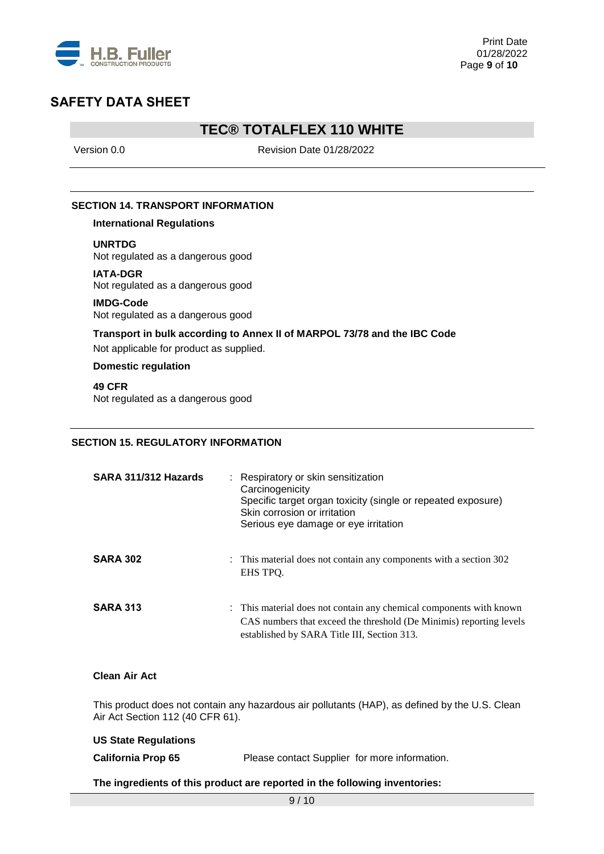

## **TEC® TOTALFLEX 110 WHITE**

Version 0.0 **Revision Date 01/28/2022** 

### **SECTION 14. TRANSPORT INFORMATION**

**International Regulations**

**UNRTDG**

Not regulated as a dangerous good

**IATA-DGR** Not regulated as a dangerous good

## **IMDG-Code**

Not regulated as a dangerous good

### **Transport in bulk according to Annex II of MARPOL 73/78 and the IBC Code**

Not applicable for product as supplied.

#### **Domestic regulation**

**49 CFR** Not regulated as a dangerous good

### **SECTION 15. REGULATORY INFORMATION**

| SARA 311/312 Hazards | : Respiratory or skin sensitization<br>Carcinogenicity<br>Specific target organ toxicity (single or repeated exposure)<br>Skin corrosion or irritation<br>Serious eye damage or eye irritation |
|----------------------|------------------------------------------------------------------------------------------------------------------------------------------------------------------------------------------------|
| <b>SARA 302</b>      | : This material does not contain any components with a section 302<br>EHS TPO.                                                                                                                 |
| <b>SARA 313</b>      | : This material does not contain any chemical components with known<br>CAS numbers that exceed the threshold (De Minimis) reporting levels<br>established by SARA Title III, Section 313.      |

#### **Clean Air Act**

This product does not contain any hazardous air pollutants (HAP), as defined by the U.S. Clean Air Act Section 112 (40 CFR 61).

| <b>US State Regulations</b> |                                               |
|-----------------------------|-----------------------------------------------|
| <b>California Prop 65</b>   | Please contact Supplier for more information. |
|                             |                                               |

### **The ingredients of this product are reported in the following inventories:**